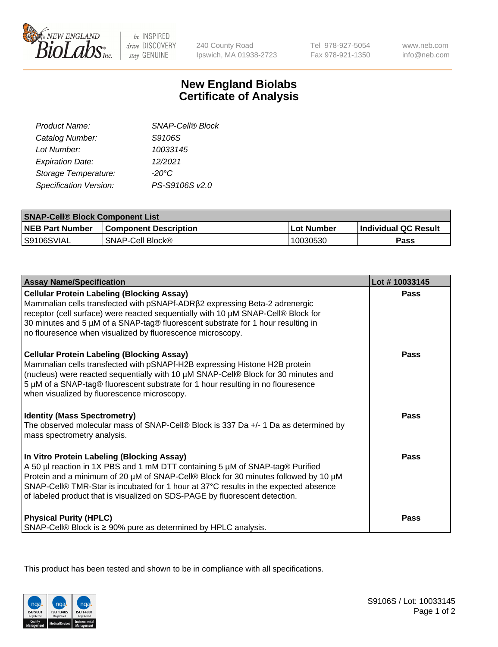

be INSPIRED drive DISCOVERY stay GENUINE

240 County Road Ipswich, MA 01938-2723 Tel 978-927-5054 Fax 978-921-1350 www.neb.com info@neb.com

## **New England Biolabs Certificate of Analysis**

| Product Name:           | <b>SNAP-Cell® Block</b> |  |
|-------------------------|-------------------------|--|
| Catalog Number:         | S9106S                  |  |
| Lot Number:             | 10033145                |  |
| <b>Expiration Date:</b> | 12/2021                 |  |
| Storage Temperature:    | $-20^{\circ}$ C         |  |
| Specification Version:  | PS-S9106S v2.0          |  |
|                         |                         |  |

| <b>SNAP-Cell® Block Component List</b> |                              |             |                             |  |
|----------------------------------------|------------------------------|-------------|-----------------------------|--|
| <b>NEB Part Number</b>                 | <b>Component Description</b> | ∟Lot Number | <b>Individual QC Result</b> |  |
| IS9106SVIAL                            | SNAP-Cell Block®             | 10030530    | <b>Pass</b>                 |  |

| <b>Assay Name/Specification</b>                                                                                                                                                                                                                                                                                                                                                          | Lot #10033145 |
|------------------------------------------------------------------------------------------------------------------------------------------------------------------------------------------------------------------------------------------------------------------------------------------------------------------------------------------------------------------------------------------|---------------|
| <b>Cellular Protein Labeling (Blocking Assay)</b><br>Mammalian cells transfected with pSNAPf-ADRß2 expressing Beta-2 adrenergic<br>receptor (cell surface) were reacted sequentially with 10 µM SNAP-Cell® Block for<br>30 minutes and 5 µM of a SNAP-tag® fluorescent substrate for 1 hour resulting in<br>no flouresence when visualized by fluorescence microscopy.                   | Pass          |
| <b>Cellular Protein Labeling (Blocking Assay)</b><br>Mammalian cells transfected with pSNAPf-H2B expressing Histone H2B protein<br>(nucleus) were reacted sequentially with 10 µM SNAP-Cell® Block for 30 minutes and<br>5 µM of a SNAP-tag® fluorescent substrate for 1 hour resulting in no flouresence<br>when visualized by fluorescence microscopy.                                 | Pass          |
| <b>Identity (Mass Spectrometry)</b><br>The observed molecular mass of SNAP-Cell® Block is 337 Da +/- 1 Da as determined by<br>mass spectrometry analysis.                                                                                                                                                                                                                                | Pass          |
| In Vitro Protein Labeling (Blocking Assay)<br>A 50 µl reaction in 1X PBS and 1 mM DTT containing 5 µM of SNAP-tag® Purified<br>Protein and a minimum of 20 µM of SNAP-Cell® Block for 30 minutes followed by 10 µM<br>SNAP-Cell® TMR-Star is incubated for 1 hour at 37°C results in the expected absence<br>of labeled product that is visualized on SDS-PAGE by fluorescent detection. | Pass          |
| <b>Physical Purity (HPLC)</b><br>SNAP-Cell® Block is ≥ 90% pure as determined by HPLC analysis.                                                                                                                                                                                                                                                                                          | Pass          |

This product has been tested and shown to be in compliance with all specifications.